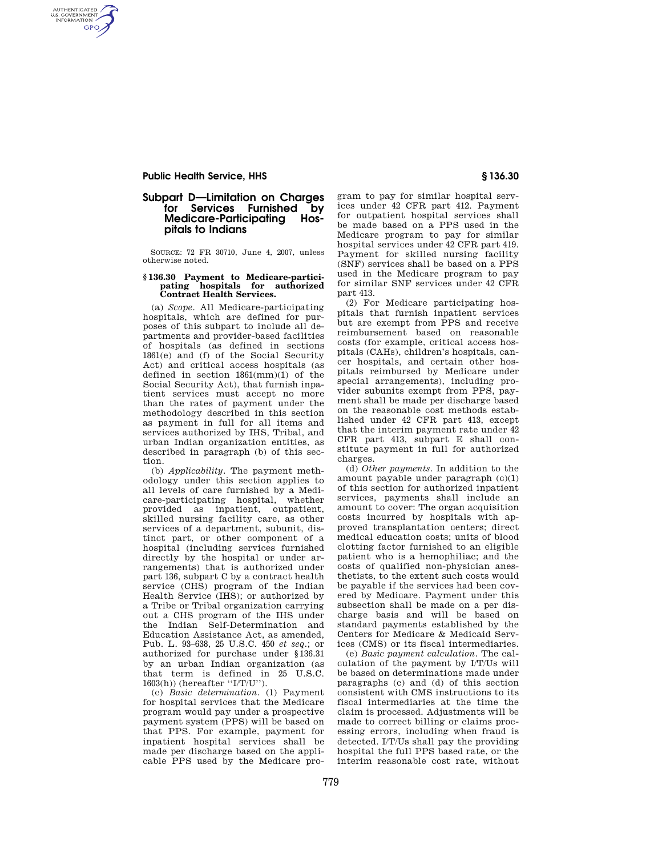## **Public Health Service, HHS § 136.30**

AUTHENTICATED<br>U.S. GOVERNMENT<br>INFORMATION **GPO** 

# **Subpart D—Limitation on Charges**  for Services Furnished by<br>Medicare-Participating Hos-**Medicare-Participating pitals to Indians**

SOURCE: 72 FR 30710, June 4, 2007, unless otherwise noted.

# **§ 136.30 Payment to Medicare-partici-pating hospitals for authorized Contract Health Services.**

(a) *Scope.* All Medicare-participating hospitals, which are defined for purposes of this subpart to include all departments and provider-based facilities of hospitals (as defined in sections 1861(e) and (f) of the Social Security Act) and critical access hospitals (as defined in section 1861(mm)(1) of the Social Security Act), that furnish inpatient services must accept no more than the rates of payment under the methodology described in this section as payment in full for all items and services authorized by IHS, Tribal, and urban Indian organization entities, as described in paragraph (b) of this section.

(b) *Applicability.* The payment methodology under this section applies to all levels of care furnished by a Medicare-participating hospital, whether provided as inpatient, outpatient, skilled nursing facility care, as other services of a department, subunit, distinct part, or other component of a hospital (including services furnished directly by the hospital or under arrangements) that is authorized under part 136, subpart C by a contract health service (CHS) program of the Indian Health Service (IHS); or authorized by a Tribe or Tribal organization carrying out a CHS program of the IHS under the Indian Self-Determination and Education Assistance Act, as amended, Pub. L. 93–638, 25 U.S.C. 450 *et seq.*; or authorized for purchase under §136.31 by an urban Indian organization (as that term is defined in 25 U.S.C. 1603(h)) (hereafter ''I/T/U'').

(c) *Basic determination.* (1) Payment for hospital services that the Medicare program would pay under a prospective payment system (PPS) will be based on that PPS. For example, payment for inpatient hospital services shall be made per discharge based on the applicable PPS used by the Medicare program to pay for similar hospital services under 42 CFR part 412. Payment for outpatient hospital services shall be made based on a PPS used in the Medicare program to pay for similar hospital services under 42 CFR part 419. Payment for skilled nursing facility (SNF) services shall be based on a PPS used in the Medicare program to pay for similar SNF services under 42 CFR part 413.

(2) For Medicare participating hospitals that furnish inpatient services but are exempt from PPS and receive reimbursement based on reasonable costs (for example, critical access hospitals (CAHs), children's hospitals, cancer hospitals, and certain other hospitals reimbursed by Medicare under special arrangements), including provider subunits exempt from PPS, payment shall be made per discharge based on the reasonable cost methods established under 42 CFR part 413, except that the interim payment rate under 42 CFR part 413, subpart E shall constitute payment in full for authorized charges.

(d) *Other payments.* In addition to the amount payable under paragraph (c)(1) of this section for authorized inpatient services, payments shall include an amount to cover: The organ acquisition costs incurred by hospitals with approved transplantation centers; direct medical education costs; units of blood clotting factor furnished to an eligible patient who is a hemophiliac; and the costs of qualified non-physician anesthetists, to the extent such costs would be payable if the services had been covered by Medicare. Payment under this subsection shall be made on a per discharge basis and will be based on standard payments established by the Centers for Medicare & Medicaid Services (CMS) or its fiscal intermediaries.

(e) *Basic payment calculation.* The calculation of the payment by I/T/Us will be based on determinations made under paragraphs (c) and (d) of this section consistent with CMS instructions to its fiscal intermediaries at the time the claim is processed. Adjustments will be made to correct billing or claims processing errors, including when fraud is detected. I/T/Us shall pay the providing hospital the full PPS based rate, or the interim reasonable cost rate, without